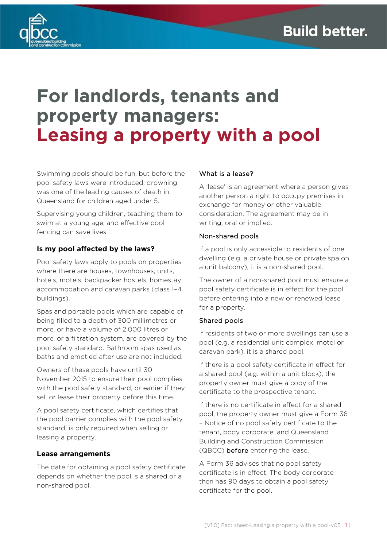

# **For landlords, tenants and property managers: Leasing a property with a pool**

Swimming pools should be fun, but before the pool safety laws were introduced, drowning was one of the leading causes of death in Queensland for children aged under 5.

Supervising young children, teaching them to swim at a young age, and effective pool fencing can save lives.

## **Is my pool affected by the laws?**

Pool safety laws apply to pools on properties where there are houses, townhouses, units, hotels, motels, backpacker hostels, homestay accommodation and caravan parks (class 1–4 buildings).

Spas and portable pools which are capable of being filled to a depth of 300 millimetres or more, or have a volume of 2,000 litres or more, or a filtration system, are covered by the pool safety standard. Bathroom spas used as baths and emptied after use are not included.

Owners of these pools have until 30 November 2015 to ensure their pool complies with the pool safety standard, or earlier if they sell or lease their property before this time.

A pool safety certificate, which certifies that the pool barrier complies with the pool safety standard, is only required when selling or leasing a property.

#### **Lease arrangements**

The date for obtaining a pool safety certificate depends on whether the pool is a shared or a non-shared pool.

#### What is a lease?

A 'lease' is an agreement where a person gives another person a right to occupy premises in exchange for money or other valuable consideration. The agreement may be in writing, oral or implied.

#### Non-shared pools

If a pool is only accessible to residents of one dwelling (e.g. a private house or private spa on a unit balcony), it is a non-shared pool.

The owner of a non-shared pool must ensure a pool safety certificate is in effect for the pool before entering into a new or renewed lease for a property.

#### Shared pools

If residents of two or more dwellings can use a pool (e.g. a residential unit complex, motel or caravan park), it is a shared pool.

If there is a pool safety certificate in effect for a shared pool (e.g. within a unit block), the property owner must give a copy of the certificate to the prospective tenant.

If there is no certificate in effect for a shared pool, the property owner must give a Form 36 – Notice of no pool safety certificate to the tenant, body corporate, and Queensland Building and Construction Commission (QBCC) before entering the lease.

A Form 36 advises that no pool safety certificate is in effect. The body corporate then has 90 days to obtain a pool safety certificate for the pool.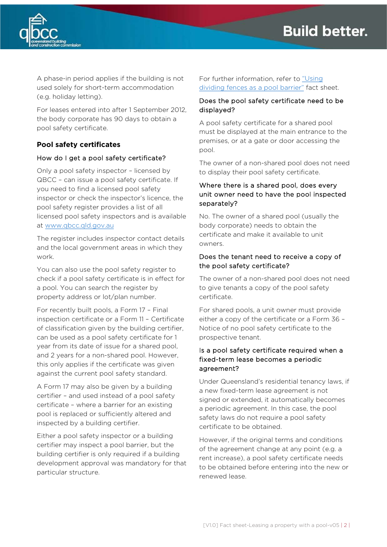

A phase-in period applies if the building is not used solely for short-term accommodation (e.g. holiday letting).

For leases entered into after 1 September 2012, the body corporate has 90 days to obtain a pool safety certificate.

## **Pool safety certificates**

## How do I get a pool safety certificate?

Only a pool safety inspector – licensed by QBCC – can issue a pool safety certificate. If you need to find a licensed pool safety inspector or check the inspector's licence, the pool safety register provides a list of all licensed pool safety inspectors and is available at [www.qbcc.qld.gov.au](http://www.qbcc.qld.gov.au/)

The register includes inspector contact details and the local government areas in which they work.

You can also use the pool safety register to check if a pool safety certificate is in effect for a pool. You can search the register by property address or lot/plan number.

For recently built pools, a Form 17 – Final inspection certificate or a Form 11 – Certificate of classification given by the building certifier, can be used as a pool safety certificate for 1 year from its date of issue for a shared pool, and 2 years for a non-shared pool. However, this only applies if the certificate was given against the current pool safety standard.

A Form 17 may also be given by a building certifier – and used instead of a pool safety certificate – where a barrier for an existing pool is replaced or sufficiently altered and inspected by a building certifier.

Either a pool safety inspector or a building certifier may inspect a pool barrier, but the building certifier is only required if a building development approval was mandatory for that particular structure.

For further information, refer to "Using [dividing fences as a pool barrier"](https://www.qbcc.qld.gov.au/sites/default/files/Pool_safety_dividing_fences.pdf) fact sheet.

## Does the pool safety certificate need to be displayed?

A pool safety certificate for a shared pool must be displayed at the main entrance to the premises, or at a gate or door accessing the pool.

The owner of a non-shared pool does not need to display their pool safety certificate.

## Where there is a shared pool, does every unit owner need to have the pool inspected separately?

No. The owner of a shared pool (usually the body corporate) needs to obtain the certificate and make it available to unit owners.

#### Does the tenant need to receive a copy of the pool safety certificate?

The owner of a non-shared pool does not need to give tenants a copy of the pool safety certificate.

For shared pools, a unit owner must provide either a copy of the certificate or a Form 36 – Notice of no pool safety certificate to the prospective tenant.

## Is a pool safety certificate required when a fixed-term lease becomes a periodic agreement?

Under Queensland's residential tenancy laws, if a new fixed-term lease agreement is not signed or extended, it automatically becomes a periodic agreement. In this case, the pool safety laws do not require a pool safety certificate to be obtained.

However, if the original terms and conditions of the agreement change at any point (e.g. a rent increase), a pool safety certificate needs to be obtained before entering into the new or renewed lease.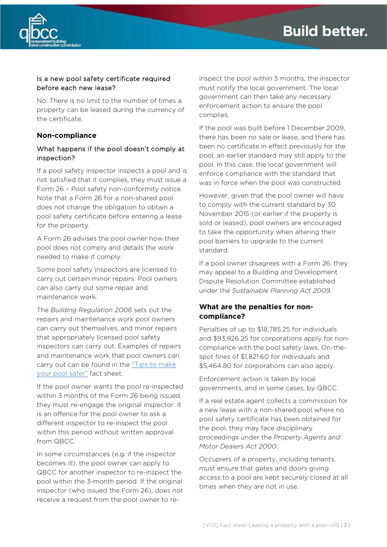

## Is a new pool safety certificate required before each new lease?

No. There is no limit to the number of times a property can be leased during the currency of the certificate.

#### **Non-compliance**

## What happens if the pool doesn't comply at inspection?

If a pool safety inspector inspects a pool and is not satisfied that it complies, they must issue a Form 26 – Pool safety non-conformity notice. Note that a Form 26 for a non-shared pool does not change the obligation to obtain a pool safety certificate before entering a lease for the property.

A Form 26 advises the pool owner how their pool does not comply and details the work needed to make it comply.

Some pool safety inspectors are licensed to carry out certain minor repairs. Pool owners can also carry out some repair and maintenance work.

The *Building Regulation 2006* sets out the repairs and maintenance work pool owners can carry out themselves, and minor repairs that appropriately licensed pool safety inspectors can carry out. Examples of repairs and maintenance work that pool owners can carry out can be found in the "Tips to make [your pool safer"](https://www.qbcc.qld.gov.au/sites/default/files/Tips_to_make_your_pool_safer.pdf) fact sheet.

If the pool owner wants the pool re-inspected within 3 months of the Form 26 being issued, they must re-engage the original inspector. It is an offence for the pool owner to ask a different inspector to re-inspect the pool within this period without written approval from QBCC.

In some circumstances (e.g. if the inspector becomes ill), the pool owner can apply to QBCC for another inspector to re-inspect the pool within the 3-month period. If the original inspector (who issued the Form 26), does not receive a request from the pool owner to re-

inspect the pool within 3 months, the inspector must notify the local government. The local government can then take any necessary enforcement action to ensure the pool complies.

If the pool was built before 1 December 2009, there has been no sale or lease, and there has been no certificate in effect previously for the pool, an earlier standard may still apply to the pool. In this case, the local government will enforce compliance with the standard that was in force when the pool was constructed.

However, given that the pool owner will have to comply with the current standard by 30 November 2015 (or earlier if the property is sold or leased), pool owners are encouraged to take the opportunity when altering their pool barriers to upgrade to the current standard.

If a pool owner disagrees with a Form 26, they may appeal to a Building and Development Dispute Resolution Committee established under the *Sustainable Planning Act 2009*.

#### **What are the penalties for noncompliance?**

Penalties of up to \$18,785.25 for individuals and \$93,926.25 for corporations apply for noncompliance with the pool safety laws. On-thespot fines of \$1,821.60 for individuals and \$5,464.80 for corporations can also apply.

Enforcement action is taken by local governments, and in some cases, by QBCC.

If a real estate agent collects a commission for a new lease with a non-shared pool where no pool safety certificate has been obtained for the pool, they may face disciplinary proceedings under the *Property Agents and Motor Dealers Act 2000*.

Occupiers of a property, including tenants, must ensure that gates and doors giving access to a pool are kept securely closed at all times when they are not in use.